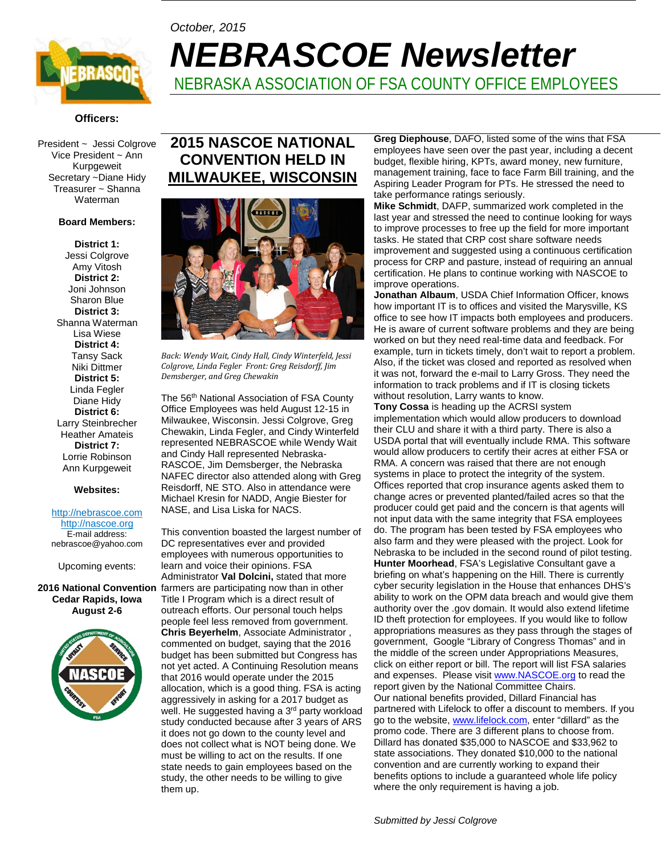

# *October, 2015 NEBRASCOE Newsletter* NEBRASKA ASSOCIATION OF FSA COUNTY OFFICE EMPLOYEES

### **Officers:**

President ~ Jessi Colgrove Vice President ~ Ann Kurpgeweit Secretary ~Diane Hidy Treasurer ~ Shanna Waterman

#### **Board Members:**

**District 1:**  Jessi Colgrove Amy Vitosh **District 2:**  Joni Johnson Sharon Blue **District 3:**  Shanna Waterman Lisa Wiese **District 4:** Tansy Sack Niki Dittmer **District 5:** Linda Fegler Diane Hidy **District 6:** Larry Steinbrecher Heather Amateis **District 7:** Lorrie Robinson Ann Kurpgeweit

#### **Websites:**

#### http://nebrascoe.com [http://nascoe.org](http://nascoe.org/)

E-mail address: nebrascoe@yahoo.com

Upcoming events:

# **Cedar Rapids, Iowa August 2-6**



# **2015 NASCOE NATIONAL CONVENTION HELD IN MILWAUKEE, WISCONSIN**



*Back: Wendy Wait, Cindy Hall, Cindy Winterfeld, Jessi Colgrove, Linda Fegler Front: Greg Reisdorff, Jim Demsberger, and Greg Chewakin*

The 56<sup>th</sup> National Association of FSA County Office Employees was held August 12-15 in Milwaukee, Wisconsin. Jessi Colgrove, Greg Chewakin, Linda Fegler, and Cindy Winterfeld represented NEBRASCOE while Wendy Wait and Cindy Hall represented Nebraska-RASCOE, Jim Demsberger, the Nebraska NAFEC director also attended along with Greg Reisdorff, NE STO. Also in attendance were Michael Kresin for NADD, Angie Biester for NASE, and Lisa Liska for NACS.

2016 National Convention farmers are participating now than in other This convention boasted the largest number of DC representatives ever and provided employees with numerous opportunities to learn and voice their opinions. FSA Administrator **Val Dolcini,** stated that more Title I Program which is a direct result of outreach efforts. Our personal touch helps people feel less removed from government. **Chris Beyerhelm**, Associate Administrator , commented on budget, saying that the 2016 budget has been submitted but Congress has not yet acted. A Continuing Resolution means that 2016 would operate under the 2015 allocation, which is a good thing. FSA is acting aggressively in asking for a 2017 budget as well. He suggested having a 3<sup>rd</sup> party workload study conducted because after 3 years of ARS it does not go down to the county level and does not collect what is NOT being done. We must be willing to act on the results. If one state needs to gain employees based on the study, the other needs to be willing to give them up.

**Greg Diephouse**, DAFO, listed some of the wins that FSA employees have seen over the past year, including a decent budget, flexible hiring, KPTs, award money, new furniture, management training, face to face Farm Bill training, and the Aspiring Leader Program for PTs. He stressed the need to take performance ratings seriously.

**Mike Schmidt**, DAFP, summarized work completed in the last year and stressed the need to continue looking for ways to improve processes to free up the field for more important tasks. He stated that CRP cost share software needs improvement and suggested using a continuous certification process for CRP and pasture, instead of requiring an annual certification. He plans to continue working with NASCOE to improve operations.

**Jonathan Albaum**, USDA Chief Information Officer, knows how important IT is to offices and visited the Marysville, KS office to see how IT impacts both employees and producers. He is aware of current software problems and they are being worked on but they need real-time data and feedback. For example, turn in tickets timely, don't wait to report a problem. Also, if the ticket was closed and reported as resolved when it was not, forward the e-mail to Larry Gross. They need the information to track problems and if IT is closing tickets without resolution, Larry wants to know.

**Tony Cossa** is heading up the ACRSI system implementation which would allow producers to download their CLU and share it with a third party. There is also a USDA portal that will eventually include RMA. This software would allow producers to certify their acres at either FSA or RMA. A concern was raised that there are not enough systems in place to protect the integrity of the system. Offices reported that crop insurance agents asked them to change acres or prevented planted/failed acres so that the producer could get paid and the concern is that agents will not input data with the same integrity that FSA employees do. The program has been tested by FSA employees who also farm and they were pleased with the project. Look for Nebraska to be included in the second round of pilot testing. **Hunter Moorhead**, FSA's Legislative Consultant gave a briefing on what's happening on the Hill. There is currently cyber security legislation in the House that enhances DHS's ability to work on the OPM data breach and would give them authority over the .gov domain. It would also extend lifetime ID theft protection for employees. If you would like to follow appropriations measures as they pass through the stages of government, Google "Library of Congress Thomas" and in the middle of the screen under Appropriations Measures, click on either report or bill. The report will list FSA salaries and expenses. Please visit [www.NASCOE.org](http://www.nascoe.org/) to read the report given by the National Committee Chairs. Our national benefits provided, Dillard Financial has partnered with Lifelock to offer a discount to members. If you go to the website[, www.lifelock.com,](http://www.lifelock.com/) enter "dillard" as the promo code. There are 3 different plans to choose from. Dillard has donated \$35,000 to NASCOE and \$33,962 to state associations. They donated \$10,000 to the national convention and are currently working to expand their benefits options to include a guaranteed whole life policy where the only requirement is having a job.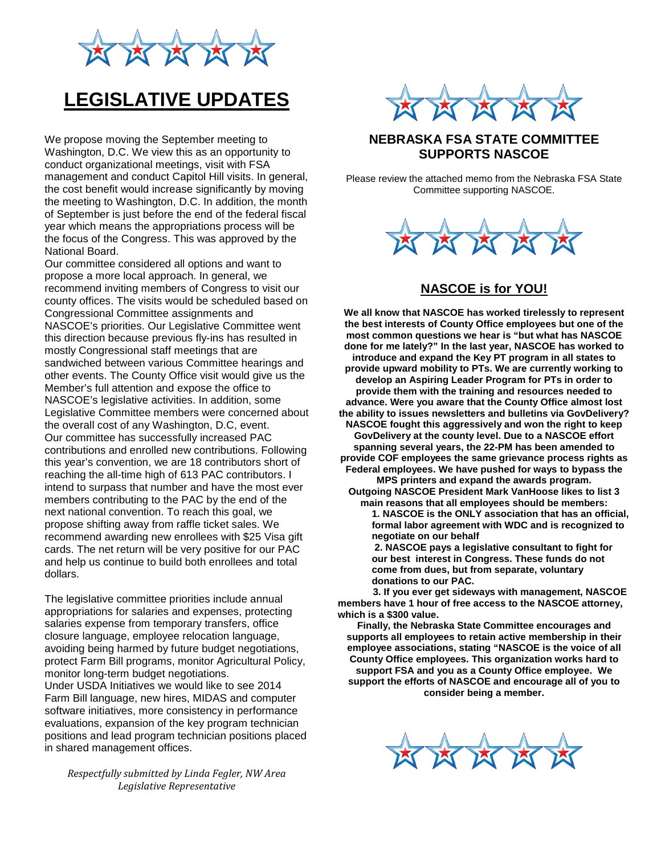

# **LEGISLATIVE UPDATES**

We propose moving the September meeting to Washington, D.C. We view this as an opportunity to conduct organizational meetings, visit with FSA management and conduct Capitol Hill visits. In general, the cost benefit would increase significantly by moving the meeting to Washington, D.C. In addition, the month of September is just before the end of the federal fiscal year which means the appropriations process will be the focus of the Congress. This was approved by the National Board.

Our committee considered all options and want to propose a more local approach. In general, we recommend inviting members of Congress to visit our county offices. The visits would be scheduled based on Congressional Committee assignments and NASCOE's priorities. Our Legislative Committee went this direction because previous fly-ins has resulted in mostly Congressional staff meetings that are sandwiched between various Committee hearings and other events. The County Office visit would give us the Member's full attention and expose the office to NASCOE's legislative activities. In addition, some Legislative Committee members were concerned about the overall cost of any Washington, D.C, event. Our committee has successfully increased PAC contributions and enrolled new contributions. Following this year's convention, we are 18 contributors short of reaching the all-time high of 613 PAC contributors. I intend to surpass that number and have the most ever members contributing to the PAC by the end of the next national convention. To reach this goal, we propose shifting away from raffle ticket sales. We recommend awarding new enrollees with \$25 Visa gift cards. The net return will be very positive for our PAC and help us continue to build both enrollees and total dollars.

The legislative committee priorities include annual appropriations for salaries and expenses, protecting salaries expense from temporary transfers, office closure language, employee relocation language, avoiding being harmed by future budget negotiations, protect Farm Bill programs, monitor Agricultural Policy, monitor long-term budget negotiations. Under USDA Initiatives we would like to see 2014 Farm Bill language, new hires, MIDAS and computer software initiatives, more consistency in performance evaluations, expansion of the key program technician positions and lead program technician positions placed in shared management offices.

*Respectfully submitted by Linda Fegler, NW Area Legislative Representative*



## **NEBRASKA FSA STATE COMMITTEE SUPPORTS NASCOE**

Please review the attached memo from the Nebraska FSA State Committee supporting NASCOE.



## **NASCOE is for YOU!**

**We all know that NASCOE has worked tirelessly to represent the best interests of County Office employees but one of the most common questions we hear is "but what has NASCOE done for me lately?" In the last year, NASCOE has worked to introduce and expand the Key PT program in all states to provide upward mobility to PTs. We are currently working to develop an Aspiring Leader Program for PTs in order to provide them with the training and resources needed to advance. Were you aware that the County Office almost lost the ability to issues newsletters and bulletins via GovDelivery? NASCOE fought this aggressively and won the right to keep GovDelivery at the county level. Due to a NASCOE effort spanning several years, the 22-PM has been amended to provide COF employees the same grievance process rights as Federal employees. We have pushed for ways to bypass the** 

**MPS printers and expand the awards program. Outgoing NASCOE President Mark VanHoose likes to list 3 main reasons that all employees should be members:**

**1. NASCOE is the ONLY association that has an official, formal labor agreement with WDC and is recognized to negotiate on our behalf**

**2. NASCOE pays a legislative consultant to fight for our best interest in Congress. These funds do not come from dues, but from separate, voluntary donations to our PAC.**

**3. If you ever get sideways with management, NASCOE members have 1 hour of free access to the NASCOE attorney, which is a \$300 value.**

**Finally, the Nebraska State Committee encourages and supports all employees to retain active membership in their employee associations, stating "NASCOE is the voice of all County Office employees. This organization works hard to support FSA and you as a County Office employee. We support the efforts of NASCOE and encourage all of you to consider being a member.**

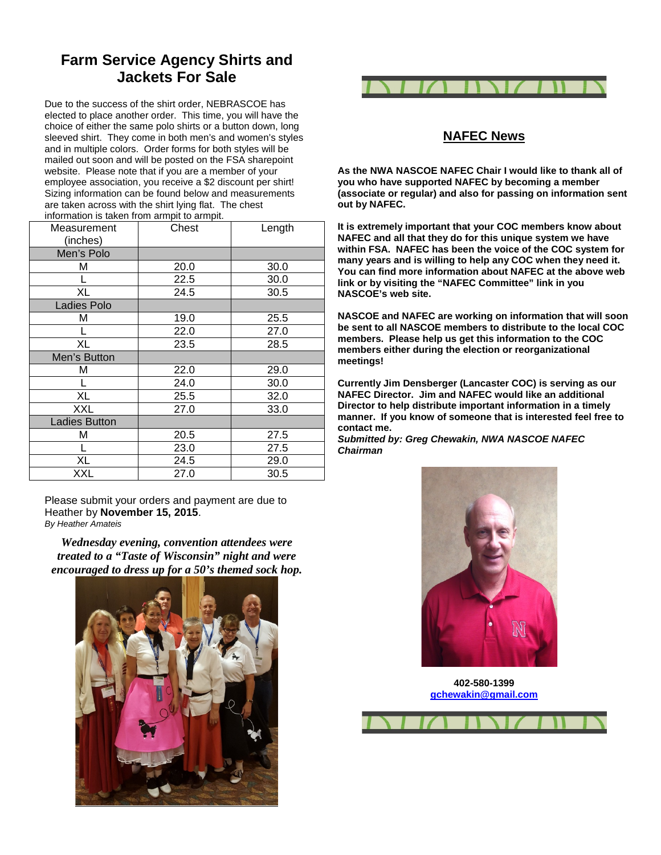# **Farm Service Agency Shirts and Jackets For Sale**

Due to the success of the shirt order, NEBRASCOE has elected to place another order. This time, you will have the choice of either the same polo shirts or a button down, long sleeved shirt. They come in both men's and women's styles and in multiple colors. Order forms for both styles will be mailed out soon and will be posted on the FSA sharepoint website. Please note that if you are a member of your employee association, you receive a \$2 discount per shirt! Sizing information can be found below and measurements are taken across with the shirt lying flat. The chest information is taken from armpit to armpit.

| Measurement<br>(inches) | <br>Chest | Length |
|-------------------------|-----------|--------|
| Men's Polo              |           |        |
| Μ                       | 20.0      | 30.0   |
|                         | 22.5      | 30.0   |
| XL                      | 24.5      | 30.5   |
| Ladies Polo             |           |        |
| м                       | 19.0      | 25.5   |
|                         | 22.0      | 27.0   |
| XL                      | 23.5      | 28.5   |
| Men's Button            |           |        |
| М                       | 22.0      | 29.0   |
|                         | 24.0      | 30.0   |
| XL                      | 25.5      | 32.0   |
| XXL                     | 27.0      | 33.0   |
| <b>Ladies Button</b>    |           |        |
| М                       | 20.5      | 27.5   |
|                         | 23.0      | 27.5   |
| XL                      | 24.5      | 29.0   |
| XXL                     | 27.0      | 30.5   |

Please submit your orders and payment are due to Heather by **November 15, 2015**. *By Heather Amateis*

*Wednesday evening, convention attendees were treated to a "Taste of Wisconsin" night and were encouraged to dress up for a 50's themed sock hop.* 





## **NAFEC News**

**As the NWA NASCOE NAFEC Chair I would like to thank all of you who have supported NAFEC by becoming a member (associate or regular) and also for passing on information sent out by NAFEC.**

**It is extremely important that your COC members know about NAFEC and all that they do for this unique system we have within FSA. NAFEC has been the voice of the COC system for many years and is willing to help any COC when they need it. You can find more information about NAFEC at the above web link or by visiting the "NAFEC Committee" link in you NASCOE's web site.**

**NASCOE and NAFEC are working on information that will soon be sent to all NASCOE members to distribute to the local COC members. Please help us get this information to the COC members either during the election or reorganizational meetings!**

**Currently Jim Densberger (Lancaster COC) is serving as our NAFEC Director. Jim and NAFEC would like an additional Director to help distribute important information in a timely manner. If you know of someone that is interested feel free to contact me.**

*Submitted by: Greg Chewakin, NWA NASCOE NAFEC Chairman*



**402-580-1399 [gchewakin@gmail.com](mailto:gchewakin@gmail.com)**

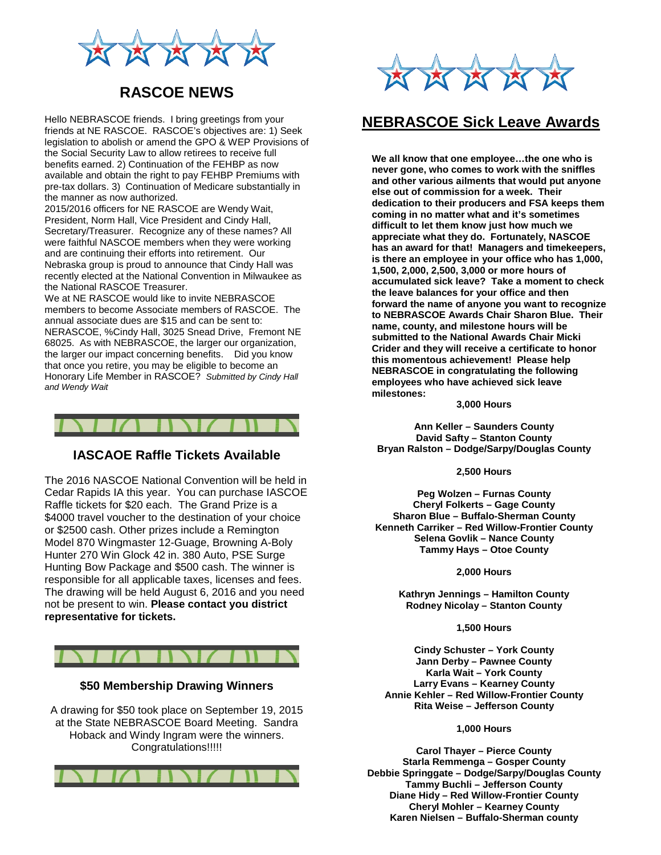

# **RASCOE NEWS**

Hello NEBRASCOE friends. I bring greetings from your friends at NE RASCOE. RASCOE's objectives are: 1) Seek legislation to abolish or amend the GPO & WEP Provisions of the Social Security Law to allow retirees to receive full benefits earned. 2) Continuation of the FEHBP as now available and obtain the right to pay FEHBP Premiums with pre-tax dollars. 3) Continuation of Medicare substantially in the manner as now authorized.

2015/2016 officers for NE RASCOE are Wendy Wait, President, Norm Hall, Vice President and Cindy Hall, Secretary/Treasurer. Recognize any of these names? All were faithful NASCOE members when they were working and are continuing their efforts into retirement. Our Nebraska group is proud to announce that Cindy Hall was recently elected at the National Convention in Milwaukee as the National RASCOE Treasurer.

We at NE RASCOE would like to invite NEBRASCOE members to become Associate members of RASCOE. The annual associate dues are \$15 and can be sent to: NERASCOE, %Cindy Hall, 3025 Snead Drive, Fremont NE 68025. As with NEBRASCOE, the larger our organization, the larger our impact concerning benefits. Did you know that once you retire, you may be eligible to become an Honorary Life Member in RASCOE? *Submitted by Cindy Hall and Wendy Wait*



### **IASCAOE Raffle Tickets Available**

The 2016 NASCOE National Convention will be held in Cedar Rapids IA this year. You can purchase IASCOE Raffle tickets for \$20 each. The Grand Prize is a \$4000 travel voucher to the destination of your choice or \$2500 cash. Other prizes include a Remington Model 870 Wingmaster 12-Guage, Browning A-Boly Hunter 270 Win Glock 42 in. 380 Auto, PSE Surge Hunting Bow Package and \$500 cash. The winner is responsible for all applicable taxes, licenses and fees. The drawing will be held August 6, 2016 and you need not be present to win. **Please contact you district representative for tickets.**



#### **\$50 Membership Drawing Winners**

A drawing for \$50 took place on September 19, 2015 at the State NEBRASCOE Board Meeting. Sandra Hoback and Windy Ingram were the winners. Congratulations!!!!!





## **NEBRASCOE Sick Leave Awards**

**We all know that one employee…the one who is never gone, who comes to work with the sniffles and other various ailments that would put anyone else out of commission for a week. Their dedication to their producers and FSA keeps them coming in no matter what and it's sometimes difficult to let them know just how much we appreciate what they do. Fortunately, NASCOE has an award for that! Managers and timekeepers, is there an employee in your office who has 1,000, 1,500, 2,000, 2,500, 3,000 or more hours of accumulated sick leave? Take a moment to check the leave balances for your office and then forward the name of anyone you want to recognize to NEBRASCOE Awards Chair Sharon Blue. Their name, county, and milestone hours will be submitted to the National Awards Chair Micki Crider and they will receive a certificate to honor this momentous achievement! Please help NEBRASCOE in congratulating the following employees who have achieved sick leave milestones:**

**3,000 Hours**

**Ann Keller – Saunders County David Safty – Stanton County Bryan Ralston – Dodge/Sarpy/Douglas County**

**2,500 Hours**

**Peg Wolzen – Furnas County Cheryl Folkerts – Gage County Sharon Blue – Buffalo-Sherman County Kenneth Carriker – Red Willow-Frontier County Selena Govlik – Nance County Tammy Hays – Otoe County**

**2,000 Hours**

**Kathryn Jennings – Hamilton County Rodney Nicolay – Stanton County**

**1,500 Hours**

**Cindy Schuster – York County Jann Derby – Pawnee County Karla Wait – York County Larry Evans – Kearney County Annie Kehler – Red Willow-Frontier County Rita Weise – Jefferson County**

#### **1,000 Hours**

**Carol Thayer – Pierce County Starla Remmenga – Gosper County Debbie Springgate – Dodge/Sarpy/Douglas County Tammy Buchli – Jefferson County Diane Hidy – Red Willow-Frontier County Cheryl Mohler – Kearney County Karen Nielsen – Buffalo-Sherman county**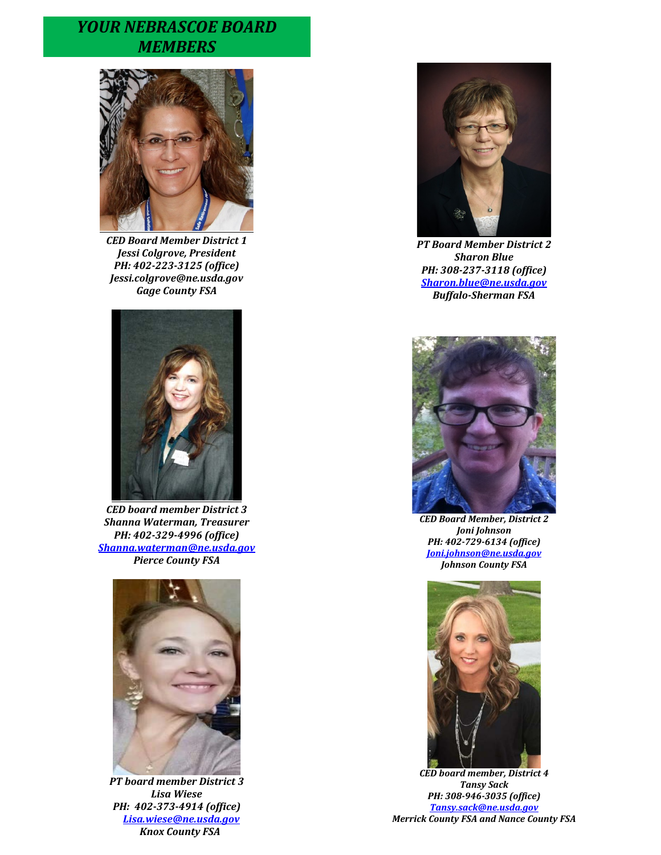# *YOUR NEBRASCOE BOARD MEMBERS*



*CED Board Member District 1 Jessi Colgrove, President PH: 402-223-3125 (office) Jessi.colgrove@ne.usda.gov Gage County FSA*



*CED board member District 3 Shanna Waterman, Treasurer PH: 402-329-4996 (office) [Shanna.waterman@ne.usda.gov](mailto:Shanna.waterman@ne.usda.gov) Pierce County FSA* 



*PT board member District 3 Lisa Wiese PH: 402-373-4914 (office) [Lisa.wiese@ne.usda.gov](mailto:Lisa.wiese@ne.usda.gov) Knox County FSA*



*PT Board Member District 2 Sharon Blue PH: 308-237-3118 (office) [Sharon.blue@ne.usda.gov](mailto:Sharon.blue@ne.usda.gov) Buffalo-Sherman FSA*



*CED Board Member, District 2 Joni Johnson PH: 402-729-6134 (office) [Joni.johnson@ne.usda.gov](mailto:Joni.johnson@ne.usda.gov) Johnson County FSA*



*CED board member, District 4 Tansy Sack PH: 308-946-3035 (office) [Tansy.sack@ne.usda.gov](mailto:Tansy.sack@ne.usda.gov) Merrick County FSA and Nance County FSA*